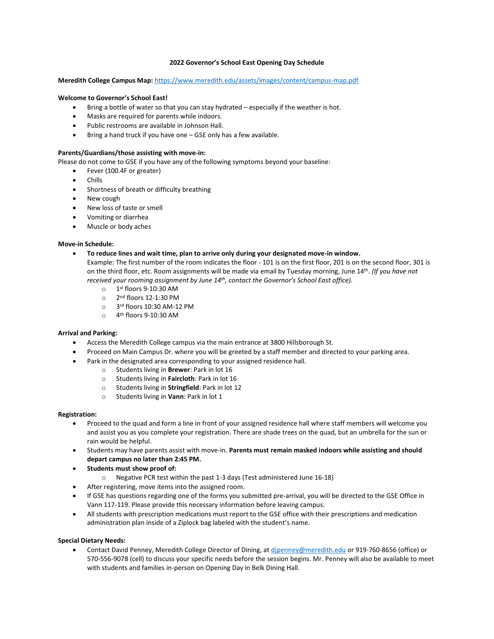# **2022 Governor's School East Opening Day Schedule**

### **Meredith College Campus Map:** <https://www.meredith.edu/assets/images/content/campus-map.pdf>

### **Welcome to Governor's School East!**

- Bring a bottle of water so that you can stay hydrated especially if the weather is hot.
- Masks are required for parents while indoors.
- Public restrooms are available in Johnson Hall.
- Bring a hand truck if you have one  $-$  GSE only has a few available.

#### **Parents/Guardians/those assisting with move-in:**

Please do not come to GSE if you have any of the following symptoms beyond your baseline:

- Fever (100.4F or greater)
- Chills
- Shortness of breath or difficulty breathing
- New cough
- New loss of taste or smell
- Vomiting or diarrhea
- Muscle or body aches

### **Move-in Schedule:**

• **To reduce lines and wait time, plan to arrive only during your designated move-in window.** 

Example: The first number of the room indicates the floor - 101 is on the first floor, 201 is on the second floor, 301 is on the third floor, etc. Room assignments will be made via email by Tuesday morning, June 14 th . *(If you have not received your rooming assignment by June 14th, contact the Governor's School East office).* 

- $\circ$  1<sup>st</sup> floors 9-10:30 AM
- $\circ$  2<sup>nd</sup> floors 12-1:30 PM
- 0 3rd floors 10:30 AM-12 PM
- $\circ$  4<sup>th</sup> floors 9-10:30 AM

# **Arrival and Parking:**

- Access the Meredith College campus via the main entrance at 3800 Hillsborough St.
- Proceed on Main Campus Dr. where you will be greeted by a staff member and directed to your parking area.
- Park in the designated area corresponding to your assigned residence hall.
	- o Students living in **Brewer**: Park in lot 16
	- o Students living in **Faircloth**: Park in lot 16
	- o Students living in **Stringfield**: Park in lot 12
	- o Students living in **Vann**: Park in lot 1

### **Registration:**

- Proceed to the quad and form a line in front of your assigned residence hall where staff members will welcome you and assist you as you complete your registration. There are shade trees on the quad, but an umbrella for the sun or rain would be helpful.
- Students may have parents assist with move-in. **Parents must remain masked indoors while assisting and should depart campus no later than 2:45 PM.**
- **Students must show proof of:**
	- o Negative PCR test within the past 1-3 days (Test administered June 16-18)
	- After registering, move items into the assigned room.
- If GSE has questions regarding one of the forms you submitted pre-arrival, you will be directed to the GSE Office in Vann 117-119. Please provide this necessary information before leaving campus.
- All students with prescription medications must report to the GSE office with their prescriptions and medication administration plan inside of a Ziplock bag labeled with the student's name.

### **Special Dietary Needs:**

• Contact David Penney, Meredith College Director of Dining, at [djpenney@meredith.edu](mailto:djpenney@meredith.edu) or 919-760-8656 (office) or 570-556-9078 (cell) to discuss your specific needs before the session begins. Mr. Penney will also be available to meet with students and families in-person on Opening Day in Belk Dining Hall.